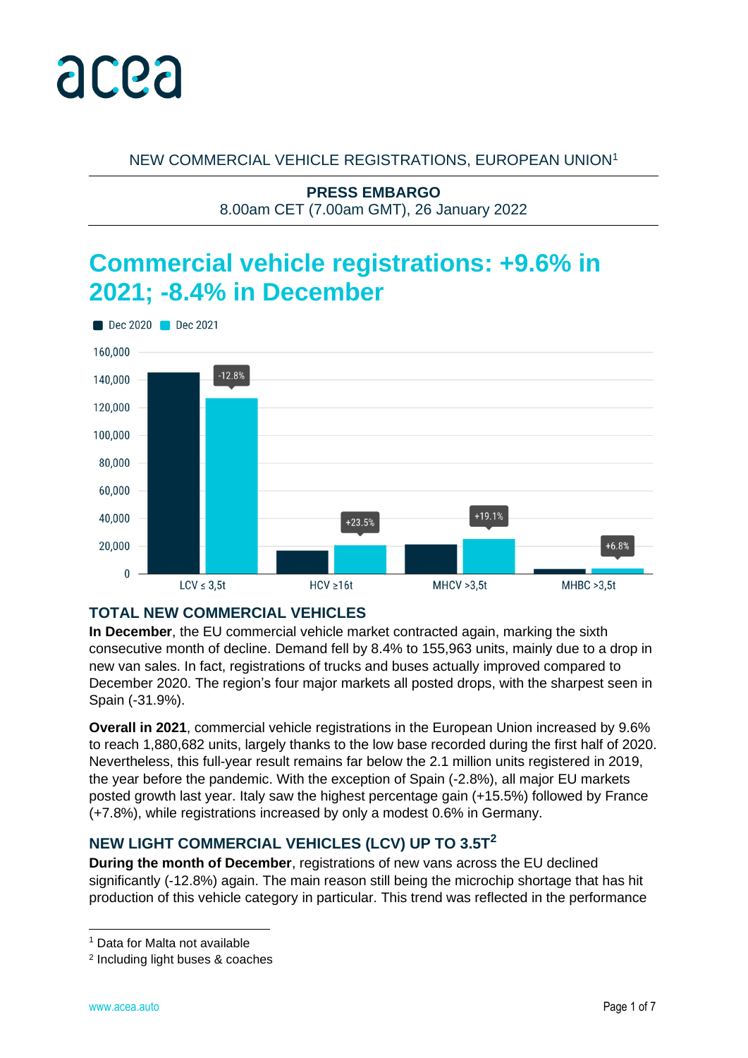

NEW COMMERCIAL VEHICLE REGISTRATIONS, EUROPEAN UNION<sup>1</sup>

**PRESS EMBARGO** 8.00am CET (7.00am GMT), 26 January 2022

# **Commercial vehicle registrations: +9.6% in 2021; -8.4% in December**



## **TOTAL NEW COMMERCIAL VEHICLES**

**In December**, the EU commercial vehicle market contracted again, marking the sixth consecutive month of decline. Demand fell by 8.4% to 155,963 units, mainly due to a drop in new van sales. In fact, registrations of trucks and buses actually improved compared to December 2020. The region's four major markets all posted drops, with the sharpest seen in Spain (-31.9%).

**Overall in 2021**, commercial vehicle registrations in the European Union increased by 9.6% to reach 1,880,682 units, largely thanks to the low base recorded during the first half of 2020. Nevertheless, this full-year result remains far below the 2.1 million units registered in 2019, the year before the pandemic. With the exception of Spain (-2.8%), all major EU markets posted growth last year. Italy saw the highest percentage gain (+15.5%) followed by France (+7.8%), while registrations increased by only a modest 0.6% in Germany.

## **NEW LIGHT COMMERCIAL VEHICLES (LCV) UP TO 3.5T<sup>2</sup>**

**During the month of December**, registrations of new vans across the EU declined significantly (-12.8%) again. The main reason still being the microchip shortage that has hit production of this vehicle category in particular. This trend was reflected in the performance

<sup>1</sup> Data for Malta not available

<sup>2</sup> Including light buses & coaches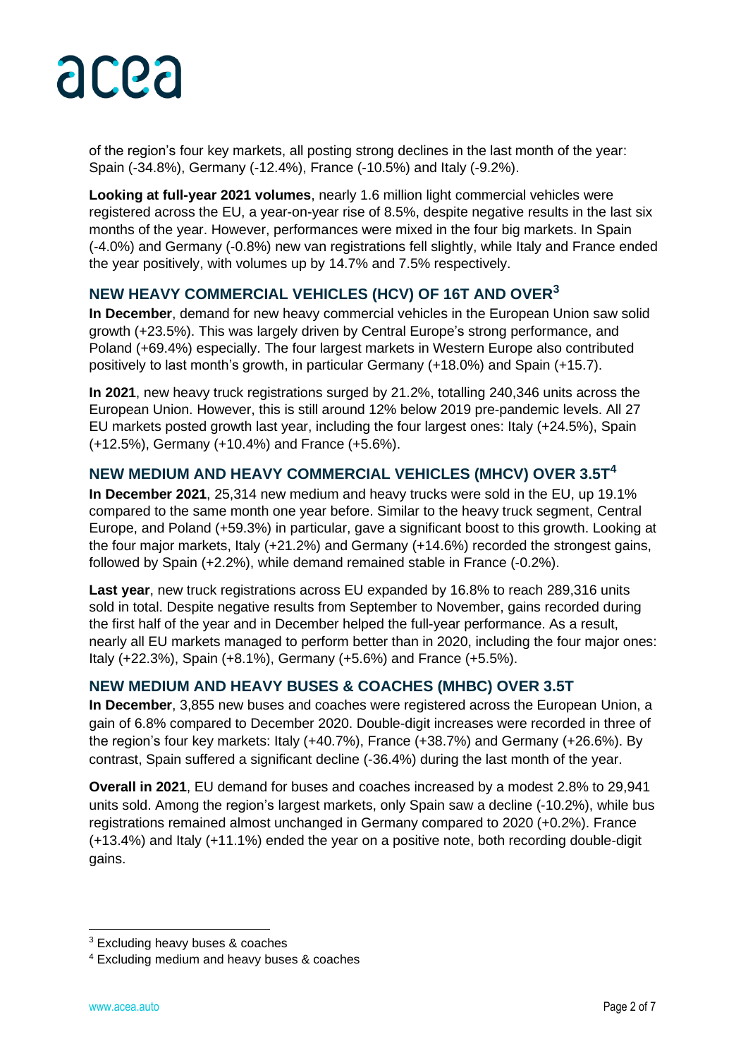

of the region's four key markets, all posting strong declines in the last month of the year: Spain (-34.8%), Germany (-12.4%), France (-10.5%) and Italy (-9.2%).

**Looking at full-year 2021 volumes**, nearly 1.6 million light commercial vehicles were registered across the EU, a year-on-year rise of 8.5%, despite negative results in the last six months of the year. However, performances were mixed in the four big markets. In Spain (-4.0%) and Germany (-0.8%) new van registrations fell slightly, while Italy and France ended the year positively, with volumes up by 14.7% and 7.5% respectively.

## **NEW HEAVY COMMERCIAL VEHICLES (HCV) OF 16T AND OVER<sup>3</sup>**

**In December**, demand for new heavy commercial vehicles in the European Union saw solid growth (+23.5%). This was largely driven by Central Europe's strong performance, and Poland (+69.4%) especially. The four largest markets in Western Europe also contributed positively to last month's growth, in particular Germany (+18.0%) and Spain (+15.7).

**In 2021**, new heavy truck registrations surged by 21.2%, totalling 240,346 units across the European Union. However, this is still around 12% below 2019 pre-pandemic levels. All 27 EU markets posted growth last year, including the four largest ones: Italy (+24.5%), Spain (+12.5%), Germany (+10.4%) and France (+5.6%).

## **NEW MEDIUM AND HEAVY COMMERCIAL VEHICLES (MHCV) OVER 3.5T<sup>4</sup>**

**In December 2021**, 25,314 new medium and heavy trucks were sold in the EU, up 19.1% compared to the same month one year before. Similar to the heavy truck segment, Central Europe, and Poland (+59.3%) in particular, gave a significant boost to this growth. Looking at the four major markets, Italy (+21.2%) and Germany (+14.6%) recorded the strongest gains, followed by Spain (+2.2%), while demand remained stable in France (-0.2%).

**Last year**, new truck registrations across EU expanded by 16.8% to reach 289,316 units sold in total. Despite negative results from September to November, gains recorded during the first half of the year and in December helped the full-year performance. As a result, nearly all EU markets managed to perform better than in 2020, including the four major ones: Italy (+22.3%), Spain (+8.1%), Germany (+5.6%) and France (+5.5%).

## **NEW MEDIUM AND HEAVY BUSES & COACHES (MHBC) OVER 3.5T**

**In December**, 3,855 new buses and coaches were registered across the European Union, a gain of 6.8% compared to December 2020. Double-digit increases were recorded in three of the region's four key markets: Italy (+40.7%), France (+38.7%) and Germany (+26.6%). By contrast, Spain suffered a significant decline (-36.4%) during the last month of the year.

**Overall in 2021**, EU demand for buses and coaches increased by a modest 2.8% to 29,941 units sold. Among the region's largest markets, only Spain saw a decline (-10.2%), while bus registrations remained almost unchanged in Germany compared to 2020 (+0.2%). France (+13.4%) and Italy (+11.1%) ended the year on a positive note, both recording double-digit gains.

<sup>3</sup> Excluding heavy buses & coaches

<sup>4</sup> Excluding medium and heavy buses & coaches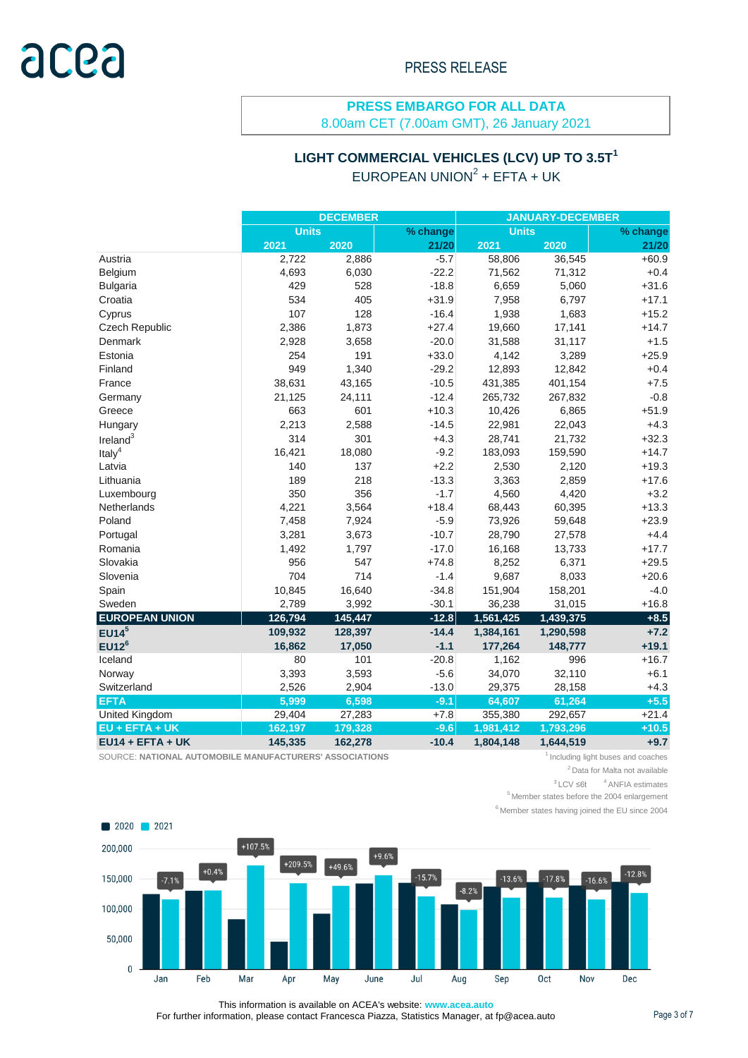#### **PRESS EMBARGO FOR ALL DATA** 8.00am CET (7.00am GMT), 26 January 2021

## **LIGHT COMMERCIAL VEHICLES (LCV) UP TO 3.5T<sup>1</sup>** EUROPEAN UNION<sup>2</sup> + EFTA + UK

|                       | <b>DECEMBER</b> |         |          | <b>JANUARY-DECEMBER</b> |           |          |  |
|-----------------------|-----------------|---------|----------|-------------------------|-----------|----------|--|
|                       | <b>Units</b>    |         | % change | <b>Units</b>            |           | % change |  |
|                       | 2021            | 2020    | 21/20    | 2021                    | 2020      | 21/20    |  |
| Austria               | 2,722           | 2,886   | $-5.7$   | 58,806                  | 36,545    | $+60.9$  |  |
| Belgium               | 4,693           | 6,030   | $-22.2$  | 71,562                  | 71,312    | $+0.4$   |  |
| <b>Bulgaria</b>       | 429             | 528     | $-18.8$  | 6,659                   | 5,060     | $+31.6$  |  |
| Croatia               | 534             | 405     | $+31.9$  | 7,958                   | 6,797     | $+17.1$  |  |
| Cyprus                | 107             | 128     | $-16.4$  | 1,938                   | 1,683     | $+15.2$  |  |
| Czech Republic        | 2,386           | 1,873   | $+27.4$  | 19,660                  | 17,141    | $+14.7$  |  |
| Denmark               | 2,928           | 3,658   | $-20.0$  | 31,588                  | 31,117    | $+1.5$   |  |
| Estonia               | 254             | 191     | $+33.0$  | 4,142                   | 3,289     | $+25.9$  |  |
| Finland               | 949             | 1,340   | $-29.2$  | 12,893                  | 12,842    | $+0.4$   |  |
| France                | 38,631          | 43,165  | $-10.5$  | 431,385                 | 401,154   | $+7.5$   |  |
| Germany               | 21,125          | 24,111  | $-12.4$  | 265,732                 | 267,832   | $-0.8$   |  |
| Greece                | 663             | 601     | $+10.3$  | 10,426                  | 6,865     | $+51.9$  |  |
| Hungary               | 2,213           | 2,588   | $-14.5$  | 22,981                  | 22,043    | $+4.3$   |  |
| Ireland $3$           | 314             | 301     | $+4.3$   | 28,741                  | 21,732    | $+32.3$  |  |
| Italy <sup>4</sup>    | 16,421          | 18,080  | $-9.2$   | 183,093                 | 159,590   | $+14.7$  |  |
| Latvia                | 140             | 137     | $+2.2$   | 2,530                   | 2,120     | $+19.3$  |  |
| Lithuania             | 189             | 218     | $-13.3$  | 3,363                   | 2,859     | $+17.6$  |  |
| Luxembourg            | 350             | 356     | $-1.7$   | 4,560                   | 4,420     | $+3.2$   |  |
| <b>Netherlands</b>    | 4,221           | 3,564   | $+18.4$  | 68,443                  | 60,395    | $+13.3$  |  |
| Poland                | 7,458           | 7,924   | $-5.9$   | 73,926                  | 59,648    | $+23.9$  |  |
| Portugal              | 3,281           | 3,673   | $-10.7$  | 28,790                  | 27,578    | $+4.4$   |  |
| Romania               | 1,492           | 1,797   | $-17.0$  | 16,168                  | 13,733    | $+17.7$  |  |
| Slovakia              | 956             | 547     | $+74.8$  | 8,252                   | 6,371     | $+29.5$  |  |
| Slovenia              | 704             | 714     | $-1.4$   | 9,687                   | 8,033     | $+20.6$  |  |
| Spain                 | 10,845          | 16,640  | $-34.8$  | 151,904                 | 158,201   | $-4.0$   |  |
| Sweden                | 2,789           | 3,992   | $-30.1$  | 36,238                  | 31,015    | $+16.8$  |  |
| <b>EUROPEAN UNION</b> | 126,794         | 145,447 | $-12.8$  | 1,561,425               | 1,439,375 | $+8.5$   |  |
| EUI4 <sup>5</sup>     | 109,932         | 128,397 | $-14.4$  | 1,384,161               | 1,290,598 | $+7.2$   |  |
| EUI2 <sup>6</sup>     | 16,862          | 17,050  | $-1.1$   | 177,264                 | 148,777   | $+19.1$  |  |
| Iceland               | 80              | 101     | $-20.8$  | 1,162                   | 996       | $+16.7$  |  |
| Norway                | 3,393           | 3,593   | $-5.6$   | 34,070                  | 32,110    | $+6.1$   |  |
| Switzerland           | 2,526           | 2,904   | $-13.0$  | 29,375                  | 28,158    | $+4.3$   |  |
| <b>EFTA</b>           | 5,999           | 6,598   | $-9.1$   | 64,607                  | 61,264    | $+5.5$   |  |
| United Kingdom        | 29,404          | 27,283  | $+7.8$   | 355,380                 | 292,657   | $+21.4$  |  |
| $EU + EFTA + UK$      | 162,197         | 179,328 | $-9.6$   | 1,981,412               | 1,793,296 | $+10.5$  |  |
| $EU14 + EFTA + UK$    | 145,335         | 162,278 | $-10.4$  | 1,804,148               | 1,644,519 | $+9.7$   |  |

SOURCE: NATIONAL AUTOMOBILE MANUFACTURERS' ASSOCIATIONS **1**Including light buses and coaches

<sup>2</sup> Data for Malta not available

 $3$  LCV ≤6t  $4$  ANFIA estimates

 $<sup>5</sup>$  Member states before the 2004 enlargement</sup>

 $6$  Member states having joined the EU since 2004



This information is available on ACEA's website: **www.acea.auto**  For further information, please contact Francesca Piazza, Statistics Manager, at fp@acea.auto Page 3 of 7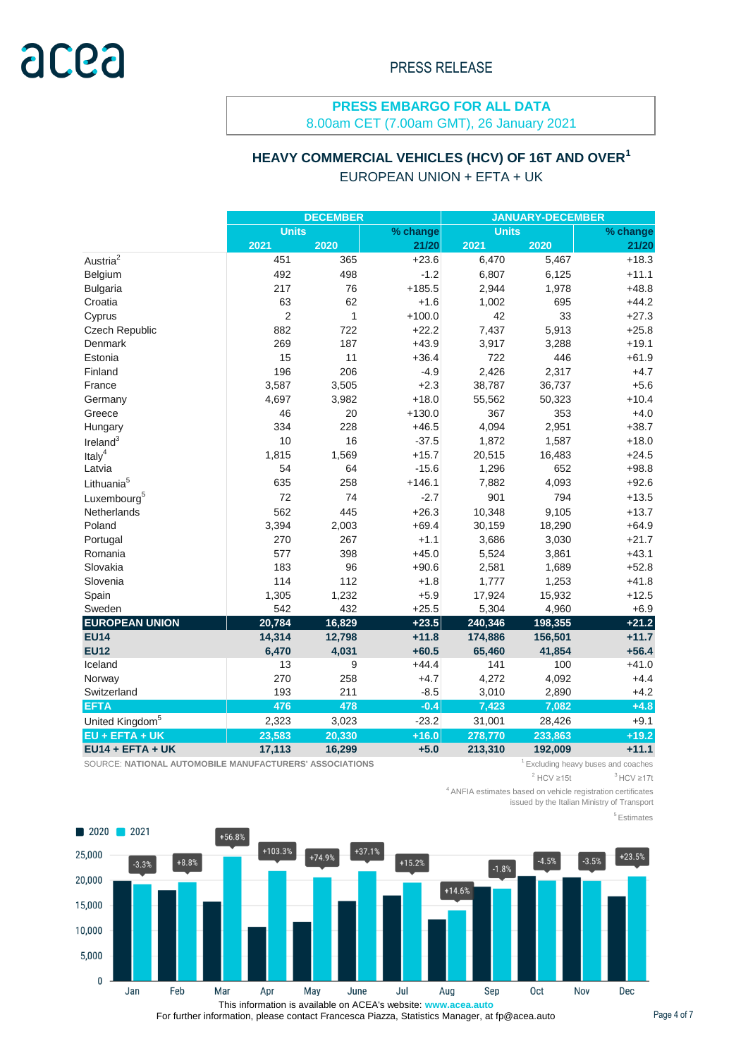## **PRESS EMBARGO FOR ALL DATA**

8.00am CET (7.00am GMT), 26 January 2021

## **HEAVY COMMERCIAL VEHICLES (HCV) OF 16T AND OVER<sup>1</sup>** EUROPEAN UNION + EFTA + UK

|                             | <b>DECEMBER</b> |              |          | <b>JANUARY-DECEMBER</b> |         |          |
|-----------------------------|-----------------|--------------|----------|-------------------------|---------|----------|
|                             | <b>Units</b>    |              | % change | <b>Units</b>            |         | % change |
|                             | 2021            | 2020         | 21/20    | 2021                    | 2020    | 21/20    |
| Austria <sup>2</sup>        | 451             | 365          | $+23.6$  | 6,470                   | 5,467   | $+18.3$  |
| Belgium                     | 492             | 498          | $-1.2$   | 6,807                   | 6,125   | $+11.1$  |
| <b>Bulgaria</b>             | 217             | 76           | $+185.5$ | 2,944                   | 1,978   | $+48.8$  |
| Croatia                     | 63              | 62           | $+1.6$   | 1,002                   | 695     | $+44.2$  |
| Cyprus                      | $\overline{2}$  | $\mathbf{1}$ | $+100.0$ | 42                      | 33      | $+27.3$  |
| <b>Czech Republic</b>       | 882             | 722          | $+22.2$  | 7,437                   | 5,913   | $+25.8$  |
| Denmark                     | 269             | 187          | $+43.9$  | 3,917                   | 3,288   | $+19.1$  |
| Estonia                     | 15              | 11           | $+36.4$  | 722                     | 446     | $+61.9$  |
| Finland                     | 196             | 206          | $-4.9$   | 2,426                   | 2,317   | $+4.7$   |
| France                      | 3,587           | 3,505        | $+2.3$   | 38,787                  | 36,737  | $+5.6$   |
| Germany                     | 4,697           | 3,982        | $+18.0$  | 55,562                  | 50,323  | $+10.4$  |
| Greece                      | 46              | 20           | $+130.0$ | 367                     | 353     | $+4.0$   |
| Hungary                     | 334             | 228          | $+46.5$  | 4,094                   | 2,951   | $+38.7$  |
| Ireland $3$                 | 10              | 16           | $-37.5$  | 1,872                   | 1,587   | $+18.0$  |
| Italy <sup>4</sup>          | 1,815           | 1,569        | $+15.7$  | 20,515                  | 16,483  | $+24.5$  |
| Latvia                      | 54              | 64           | $-15.6$  | 1,296                   | 652     | $+98.8$  |
| Lithuania <sup>5</sup>      | 635             | 258          | $+146.1$ | 7,882                   | 4,093   | $+92.6$  |
| Luxembourg <sup>5</sup>     | 72              | 74           | $-2.7$   | 901                     | 794     | $+13.5$  |
| Netherlands                 | 562             | 445          | $+26.3$  | 10,348                  | 9,105   | $+13.7$  |
| Poland                      | 3,394           | 2,003        | $+69.4$  | 30,159                  | 18,290  | $+64.9$  |
| Portugal                    | 270             | 267          | $+1.1$   | 3,686                   | 3,030   | $+21.7$  |
| Romania                     | 577             | 398          | $+45.0$  | 5,524                   | 3,861   | $+43.1$  |
| Slovakia                    | 183             | 96           | $+90.6$  | 2,581                   | 1,689   | $+52.8$  |
| Slovenia                    | 114             | 112          | $+1.8$   | 1,777                   | 1,253   | $+41.8$  |
| Spain                       | 1,305           | 1,232        | $+5.9$   | 17,924                  | 15,932  | $+12.5$  |
| Sweden                      | 542             | 432          | $+25.5$  | 5,304                   | 4,960   | $+6.9$   |
| <b>EUROPEAN UNION</b>       | 20,784          | 16,829       | $+23.5$  | 240,346                 | 198,355 | $+21.2$  |
| <b>EU14</b>                 | 14,314          | 12,798       | $+11.8$  | 174,886                 | 156,501 | $+11.7$  |
| <b>EU12</b>                 | 6,470           | 4,031        | $+60.5$  | 65,460                  | 41,854  | $+56.4$  |
| Iceland                     | 13              | 9            | $+44.4$  | 141                     | 100     | $+41.0$  |
| Norway                      | 270             | 258          | $+4.7$   | 4,272                   | 4,092   | $+4.4$   |
| Switzerland                 | 193             | 211          | $-8.5$   | 3,010                   | 2,890   | $+4.2$   |
| <b>EFTA</b>                 | 476             | 478          | $-0.4$   | 7,423                   | 7,082   | $+4.8$   |
| United Kingdom <sup>5</sup> | 2,323           | 3,023        | $-23.2$  | 31,001                  | 28,426  | $+9.1$   |
| $EU + EFTA + UK$            | 23,583          | 20,330       | $+16.0$  | 278,770                 | 233,863 | $+19.2$  |
| $EU14 + EFTA + UK$          | 17,113          | 16,299       | $+5.0$   | 213,310                 | 192,009 | $+11.1$  |

SOURCE: NATIONAL AUTOMOBILE MANUFACTURERS' ASSOCIATIONS **1.1 Automobile 12** Excluding heavy buses and coaches

 $2$  HCV  $\geq$ 15t  $3$  HCV ≥17t

<sup>4</sup>ANFIA estimates based on vehicle registration certificates

issued by the Italian Ministry of Transport

<sup>5</sup>Estimates



For further information, please contact Francesca Piazza, Statistics Manager, at fp@acea.auto Page 4 of 7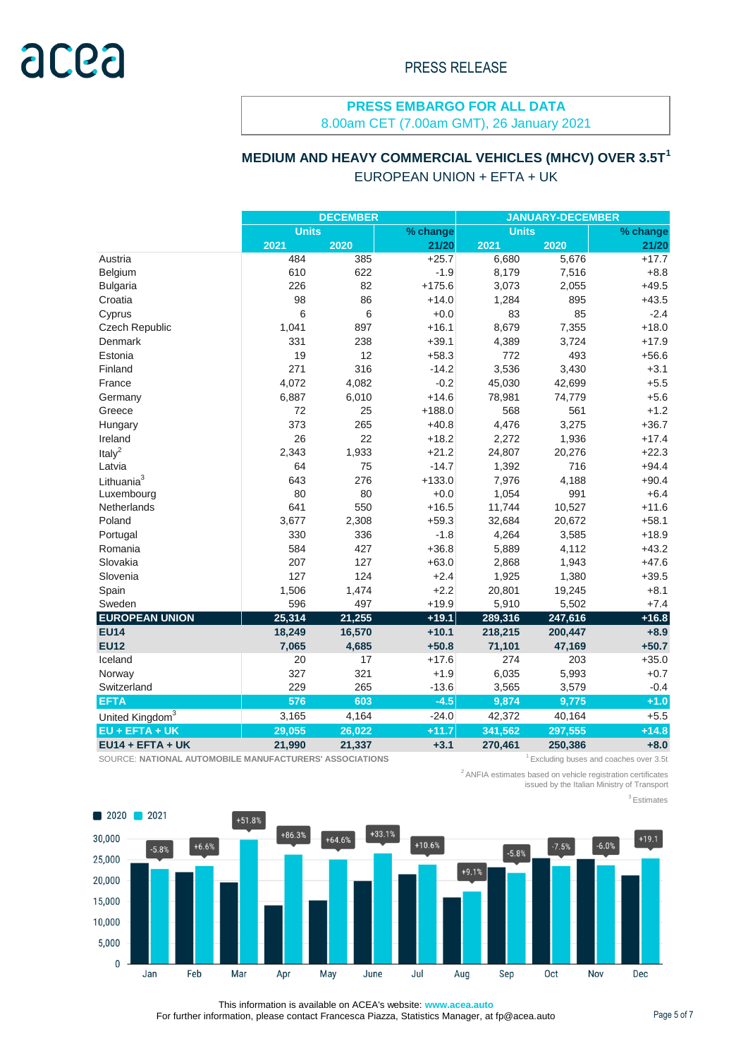#### **PRESS EMBARGO FOR ALL DATA** 8.00am CET (7.00am GMT), 26 January 2021

## **MEDIUM AND HEAVY COMMERCIAL VEHICLES (MHCV) OVER 3.5T<sup>1</sup>** EUROPEAN UNION + EFTA + UK

|                             | <b>DECEMBER</b> |        |          | <b>JANUARY-DECEMBER</b> |         |          |  |
|-----------------------------|-----------------|--------|----------|-------------------------|---------|----------|--|
|                             | <b>Units</b>    |        | % change | <b>Units</b>            |         | % change |  |
|                             | 2021            | 2020   | 21/20    | 2021                    | 2020    | 21/20    |  |
| Austria                     | 484             | 385    | $+25.7$  | 6,680                   | 5,676   | $+17.7$  |  |
| Belgium                     | 610             | 622    | $-1.9$   | 8,179                   | 7,516   | $+8.8$   |  |
| <b>Bulgaria</b>             | 226             | 82     | $+175.6$ | 3,073                   | 2,055   | $+49.5$  |  |
| Croatia                     | 98              | 86     | $+14.0$  | 1,284                   | 895     | $+43.5$  |  |
| Cyprus                      | 6               | $\,6$  | $+0.0$   | 83                      | 85      | $-2.4$   |  |
| Czech Republic              | 1,041           | 897    | $+16.1$  | 8,679                   | 7,355   | $+18.0$  |  |
| Denmark                     | 331             | 238    | $+39.1$  | 4,389                   | 3,724   | $+17.9$  |  |
| Estonia                     | 19              | 12     | $+58.3$  | 772                     | 493     | $+56.6$  |  |
| Finland                     | 271             | 316    | $-14.2$  | 3,536                   | 3,430   | $+3.1$   |  |
| France                      | 4,072           | 4,082  | $-0.2$   | 45,030                  | 42,699  | $+5.5$   |  |
| Germany                     | 6,887           | 6,010  | $+14.6$  | 78,981                  | 74,779  | $+5.6$   |  |
| Greece                      | 72              | 25     | $+188.0$ | 568                     | 561     | $+1.2$   |  |
| Hungary                     | 373             | 265    | $+40.8$  | 4,476                   | 3,275   | $+36.7$  |  |
| Ireland                     | 26              | 22     | $+18.2$  | 2,272                   | 1,936   | $+17.4$  |  |
| Ital $v^2$                  | 2,343           | 1,933  | $+21.2$  | 24,807                  | 20,276  | $+22.3$  |  |
| Latvia                      | 64              | 75     | $-14.7$  | 1,392                   | 716     | $+94.4$  |  |
| Lithuania <sup>3</sup>      | 643             | 276    | $+133.0$ | 7,976                   | 4,188   | $+90.4$  |  |
| Luxembourg                  | 80              | 80     | $+0.0$   | 1,054                   | 991     | $+6.4$   |  |
| <b>Netherlands</b>          | 641             | 550    | $+16.5$  | 11,744                  | 10,527  | $+11.6$  |  |
| Poland                      | 3,677           | 2,308  | $+59.3$  | 32,684                  | 20,672  | $+58.1$  |  |
| Portugal                    | 330             | 336    | $-1.8$   | 4,264                   | 3,585   | $+18.9$  |  |
| Romania                     | 584             | 427    | $+36.8$  | 5,889                   | 4,112   | $+43.2$  |  |
| Slovakia                    | 207             | 127    | $+63.0$  | 2,868                   | 1,943   | $+47.6$  |  |
| Slovenia                    | 127             | 124    | $+2.4$   | 1,925                   | 1,380   | $+39.5$  |  |
| Spain                       | 1,506           | 1,474  | $+2.2$   | 20,801                  | 19,245  | $+8.1$   |  |
| Sweden                      | 596             | 497    | $+19.9$  | 5,910                   | 5,502   | $+7.4$   |  |
| <b>EUROPEAN UNION</b>       | 25,314          | 21,255 | $+19.1$  | 289,316                 | 247,616 | $+16.8$  |  |
| <b>EU14</b>                 | 18,249          | 16,570 | $+10.1$  | 218,215                 | 200,447 | $+8.9$   |  |
| <b>EU12</b>                 | 7,065           | 4,685  | $+50.8$  | 71,101                  | 47,169  | $+50.7$  |  |
| Iceland                     | 20              | 17     | $+17.6$  | 274                     | 203     | $+35.0$  |  |
| Norway                      | 327             | 321    | $+1.9$   | 6,035                   | 5,993   | $+0.7$   |  |
| Switzerland                 | 229             | 265    | $-13.6$  | 3,565                   | 3,579   | $-0.4$   |  |
| <b>EFTA</b>                 | 576             | 603    | $-4.5$   | 9,874                   | 9,775   | $+1.0$   |  |
| United Kingdom <sup>3</sup> | 3,165           | 4,164  | $-24.0$  | 42,372                  | 40,164  | $+5.5$   |  |
| EU + EFTA + UK              | 29,055          | 26,022 | $+11.7$  | 341,562                 | 297,555 | $+14.8$  |  |
| $EU14 + EFTA + UK$          | 21,990          | 21,337 | $+3.1$   | 270,461                 | 250,386 | $+8.0$   |  |

SOURCE: NATIONAL AUTOMOBILE MANUFACTURERS' ASSOCIATIONS **1.1 Automobile 12** Excluding buses and coaches over 3.5t

<sup>2</sup>ANFIA estimates based on vehicle registration certificates

issued by the Italian Ministry of Transport

<sup>3</sup>Estimates



This information is available on ACEA's website: **www.acea.auto**  For further information, please contact Francesca Piazza, Statistics Manager, at fp@acea.auto Page 5 of 7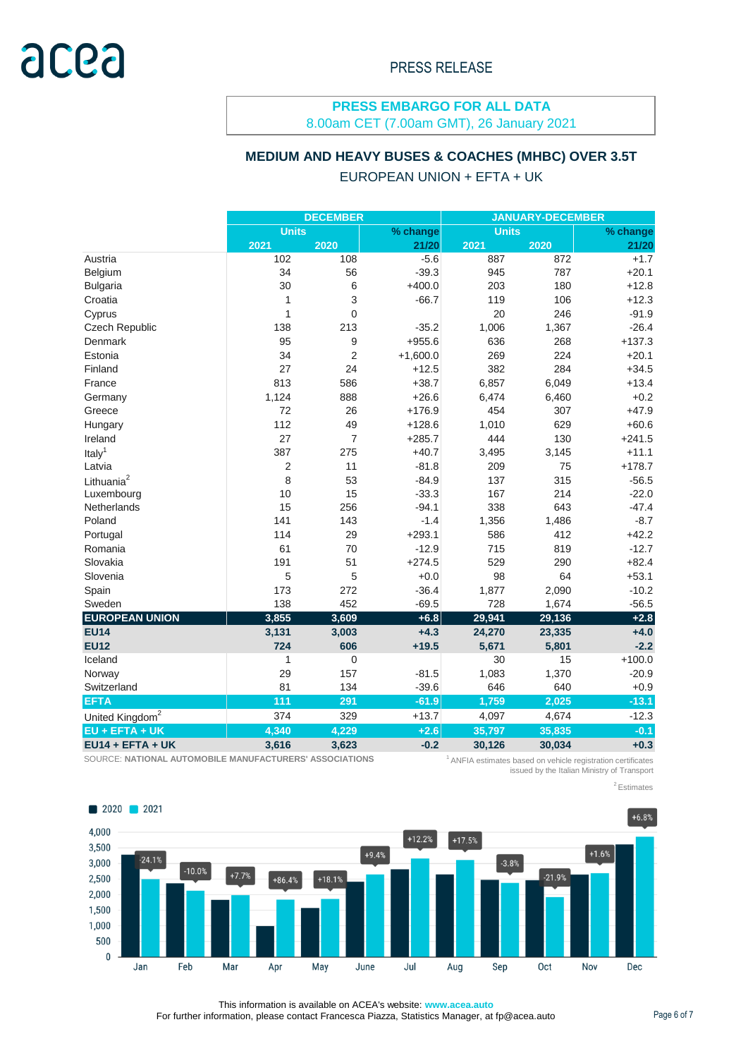## **PRESS EMBARGO FOR ALL DATA**

8.00am CET (7.00am GMT), 26 January 2021

#### **MEDIUM AND HEAVY BUSES & COACHES (MHBC) OVER 3.5T**

#### EUROPEAN UNION + EFTA + UK

|                             | <b>DECEMBER</b> |                |            | <b>JANUARY-DECEMBER</b> |        |          |
|-----------------------------|-----------------|----------------|------------|-------------------------|--------|----------|
|                             | <b>Units</b>    |                | % change   | <b>Units</b>            |        | % change |
|                             | 2021            | 2020           | 21/20      | 2021                    | 2020   | 21/20    |
| Austria                     | 102             | 108            | $-5.6$     | 887                     | 872    | $+1.7$   |
| Belgium                     | 34              | 56             | $-39.3$    | 945                     | 787    | $+20.1$  |
| <b>Bulgaria</b>             | 30              | 6              | $+400.0$   | 203                     | 180    | $+12.8$  |
| Croatia                     | 1               | 3              | $-66.7$    | 119                     | 106    | $+12.3$  |
| Cyprus                      | 1               | $\overline{0}$ |            | 20                      | 246    | $-91.9$  |
| Czech Republic              | 138             | 213            | $-35.2$    | 1,006                   | 1,367  | $-26.4$  |
| Denmark                     | 95              | 9              | $+955.6$   | 636                     | 268    | $+137.3$ |
| Estonia                     | 34              | $\overline{2}$ | $+1,600.0$ | 269                     | 224    | $+20.1$  |
| Finland                     | 27              | 24             | $+12.5$    | 382                     | 284    | $+34.5$  |
| France                      | 813             | 586            | $+38.7$    | 6,857                   | 6,049  | $+13.4$  |
| Germany                     | 1,124           | 888            | $+26.6$    | 6,474                   | 6,460  | $+0.2$   |
| Greece                      | 72              | 26             | $+176.9$   | 454                     | 307    | $+47.9$  |
| Hungary                     | 112             | 49             | $+128.6$   | 1,010                   | 629    | $+60.6$  |
| Ireland                     | 27              | $\overline{7}$ | $+285.7$   | 444                     | 130    | $+241.5$ |
| Italy <sup>1</sup>          | 387             | 275            | $+40.7$    | 3,495                   | 3,145  | $+11.1$  |
| Latvia                      | 2               | 11             | $-81.8$    | 209                     | 75     | $+178.7$ |
| Lithuania <sup>2</sup>      | 8               | 53             | $-84.9$    | 137                     | 315    | $-56.5$  |
| Luxembourg                  | 10              | 15             | $-33.3$    | 167                     | 214    | $-22.0$  |
| Netherlands                 | 15              | 256            | $-94.1$    | 338                     | 643    | $-47.4$  |
| Poland                      | 141             | 143            | $-1.4$     | 1,356                   | 1,486  | $-8.7$   |
| Portugal                    | 114             | 29             | $+293.1$   | 586                     | 412    | $+42.2$  |
| Romania                     | 61              | 70             | $-12.9$    | 715                     | 819    | $-12.7$  |
| Slovakia                    | 191             | 51             | $+274.5$   | 529                     | 290    | $+82.4$  |
| Slovenia                    | 5               | 5              | $+0.0$     | 98                      | 64     | $+53.1$  |
| Spain                       | 173             | 272            | $-36.4$    | 1,877                   | 2,090  | $-10.2$  |
| Sweden                      | 138             | 452            | $-69.5$    | 728                     | 1,674  | $-56.5$  |
| <b>EUROPEAN UNION</b>       | 3,855           | 3,609          | $+6.8$     | 29,941                  | 29,136 | $+2.8$   |
| <b>EU14</b>                 | 3,131           | 3,003          | $+4.3$     | 24,270                  | 23,335 | $+4.0$   |
| <b>EU12</b>                 | 724             | 606            | $+19.5$    | 5,671                   | 5,801  | $-2.2$   |
| Iceland                     | 1               | $\mathbf 0$    |            | 30                      | 15     | $+100.0$ |
| Norway                      | 29              | 157            | $-81.5$    | 1,083                   | 1,370  | $-20.9$  |
| Switzerland                 | 81              | 134            | $-39.6$    | 646                     | 640    | $+0.9$   |
| <b>EFTA</b>                 | 111             | 291            | $-61.9$    | 1,759                   | 2,025  | $-13.1$  |
| United Kingdom <sup>2</sup> | 374             | 329            | $+13.7$    | 4,097                   | 4,674  | $-12.3$  |
| EU + EFTA + UK              | 4,340           | 4,229          | $+2.6$     | 35,797                  | 35,835 | $-0.1$   |
| $EU14 + EFTA + UK$          | 3,616           | 3,623          | $-0.2$     | 30,126                  | 30,034 | $+0.3$   |

SOURCE: **NATIONAL AUTOMOBILE MANUFACTURERS' ASSOCIATIONS** 

<sup>1</sup> ANFIA estimates based on vehicle registration certificates issued by the Italian Ministry of Transport

<sup>2</sup> Estimates



This information is available on ACEA's website: **www.acea.auto**  For further information, please contact Francesca Piazza, Statistics Manager, at fp@acea.auto Page 6 of 7